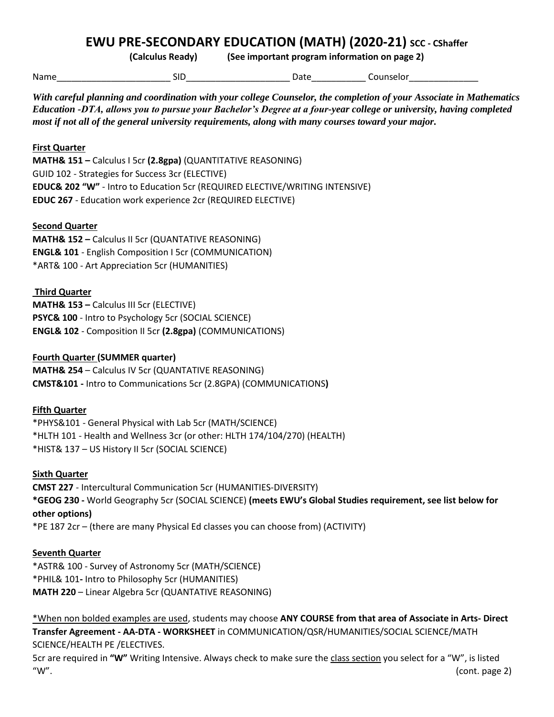# **EWU PRE-SECONDARY EDUCATION (MATH) (2020-21) SCC - CShaffer**

**(Calculus Ready) (See important program information on page 2)**

Name\_\_\_\_\_\_\_\_\_\_\_\_\_\_\_\_\_\_\_\_\_\_\_ SID\_\_\_\_\_\_\_\_\_\_\_\_\_\_\_\_\_\_\_\_\_ Date\_\_\_\_\_\_\_\_\_\_\_ Counselor\_\_\_\_\_\_\_\_\_\_\_\_\_\_

*With careful planning and coordination with your college Counselor, the completion of your Associate in Mathematics Education -DTA, allows you to pursue your Bachelor's Degree at a four-year college or university, having completed most if not all of the general university requirements, along with many courses toward your major.* 

### **First Quarter**

**MATH& 151 –** Calculus I 5cr **(2.8gpa)** (QUANTITATIVE REASONING) GUID 102 - Strategies for Success 3cr (ELECTIVE) **EDUC& 202 "W"** - Intro to Education 5cr (REQUIRED ELECTIVE/WRITING INTENSIVE) **EDUC 267** - Education work experience 2cr (REQUIRED ELECTIVE)

#### **Second Quarter**

**MATH& 152 –** Calculus II 5cr (QUANTATIVE REASONING) **ENGL& 101** - English Composition I 5cr (COMMUNICATION) \*ART& 100 - Art Appreciation 5cr (HUMANITIES)

#### **Third Quarter**

**MATH& 153 –** Calculus III 5cr (ELECTIVE) **PSYC& 100** - Intro to Psychology 5cr (SOCIAL SCIENCE) **ENGL& 102** - Composition II 5cr **(2.8gpa)** (COMMUNICATIONS)

#### **Fourth Quarter (SUMMER quarter)**

**MATH& 254** – Calculus IV 5cr (QUANTATIVE REASONING) **CMST&101 -** Intro to Communications 5cr (2.8GPA) (COMMUNICATIONS**)** 

#### **Fifth Quarter**

\*PHYS&101 - General Physical with Lab 5cr (MATH/SCIENCE) \*HLTH 101 - Health and Wellness 3cr (or other: HLTH 174/104/270) (HEALTH) \*HIST& 137 – US History II 5cr (SOCIAL SCIENCE)

#### **Sixth Quarter**

**CMST 227** - Intercultural Communication 5cr (HUMANITIES-DIVERSITY) **\*GEOG 230 -** World Geography 5cr (SOCIAL SCIENCE) **(meets EWU's Global Studies requirement, see list below for other options)** \*PE 187 2cr – (there are many Physical Ed classes you can choose from) (ACTIVITY)

#### **Seventh Quarter**

\*ASTR& 100 - Survey of Astronomy 5cr (MATH/SCIENCE) \*PHIL& 101**-** Intro to Philosophy 5cr (HUMANITIES) **MATH 220** – Linear Algebra 5cr (QUANTATIVE REASONING)

\*When non bolded examples are used, students may choose **ANY COURSE from that area of Associate in Arts- Direct Transfer Agreement - AA-DTA - WORKSHEET** in COMMUNICATION/QSR/HUMANITIES/SOCIAL SCIENCE/MATH SCIENCE/HEALTH PE /ELECTIVES.

5cr are required in **"W"** Writing Intensive. Always check to make sure the class section you select for a "W", is listed  $\hspace{0.1cm}$  "W".  $\hspace{0.2cm}$  (cont. page 2)